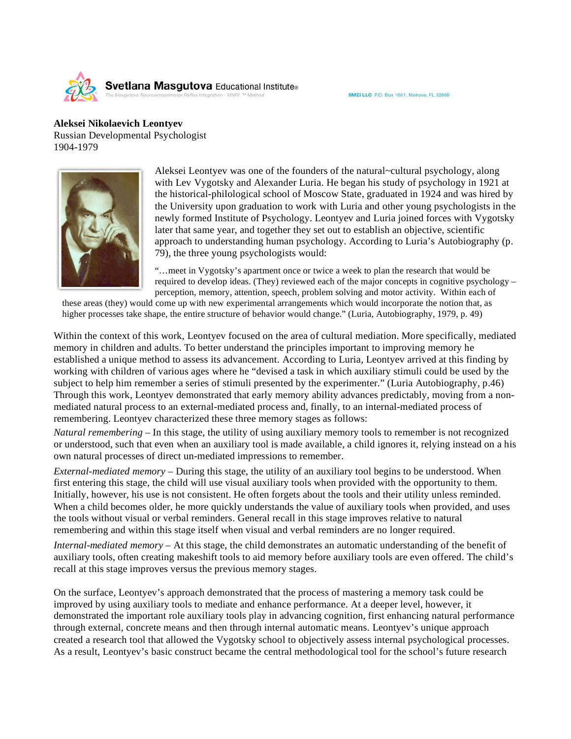

SMEI LLC P.O. Box 1651, Melrose, FL 32666

## **Aleksei Nikolaevich Leontyev**

Russian Developmental Psychologist 1904-1979



Aleksei Leontyev was one of the founders of the natural~cultural psychology, along with Lev Vygotsky and Alexander Luria. He began his study of psychology in 1921 at the historical-philological school of Moscow State, graduated in 1924 and was hired by the University upon graduation to work with Luria and other young psychologists in the newly formed Institute of Psychology. Leontyev and Luria joined forces with Vygotsky later that same year, and together they set out to establish an objective, scientific approach to understanding human psychology. According to Luria's Autobiography (p. 79), the three young psychologists would:

"…meet in Vygotsky's apartment once or twice a week to plan the research that would be required to develop ideas. (They) reviewed each of the major concepts in cognitive psychology – perception, memory, attention, speech, problem solving and motor activity. Within each of

these areas (they) would come up with new experimental arrangements which would incorporate the notion that, as higher processes take shape, the entire structure of behavior would change." (Luria, Autobiography, 1979, p. 49)

Within the context of this work, Leontyev focused on the area of cultural mediation. More specifically, mediated memory in children and adults. To better understand the principles important to improving memory he established a unique method to assess its advancement. According to Luria, Leontyev arrived at this finding by working with children of various ages where he "devised a task in which auxiliary stimuli could be used by the subject to help him remember a series of stimuli presented by the experimenter." (Luria Autobiography, p.46) Through this work, Leontyev demonstrated that early memory ability advances predictably, moving from a nonmediated natural process to an external-mediated process and, finally, to an internal-mediated process of remembering. Leontyev characterized these three memory stages as follows:

*Natural remembering* – In this stage, the utility of using auxiliary memory tools to remember is not recognized or understood, such that even when an auxiliary tool is made available, a child ignores it, relying instead on a his own natural processes of direct un-mediated impressions to remember.

*External-mediated memory* – During this stage, the utility of an auxiliary tool begins to be understood. When first entering this stage, the child will use visual auxiliary tools when provided with the opportunity to them. Initially, however, his use is not consistent. He often forgets about the tools and their utility unless reminded. When a child becomes older, he more quickly understands the value of auxiliary tools when provided, and uses the tools without visual or verbal reminders. General recall in this stage improves relative to natural remembering and within this stage itself when visual and verbal reminders are no longer required.

*Internal-mediated memory* – At this stage, the child demonstrates an automatic understanding of the benefit of auxiliary tools, often creating makeshift tools to aid memory before auxiliary tools are even offered. The child's recall at this stage improves versus the previous memory stages.

On the surface, Leontyev's approach demonstrated that the process of mastering a memory task could be improved by using auxiliary tools to mediate and enhance performance. At a deeper level, however, it demonstrated the important role auxiliary tools play in advancing cognition, first enhancing natural performance through external, concrete means and then through internal automatic means. Leontyev's unique approach created a research tool that allowed the Vygotsky school to objectively assess internal psychological processes. As a result, Leontyev's basic construct became the central methodological tool for the school's future research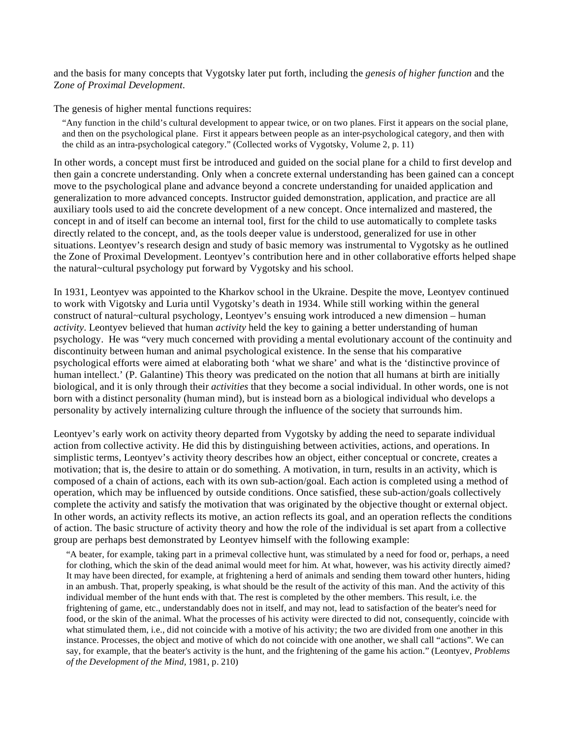and the basis for many concepts that Vygotsky later put forth, including the *genesis of higher function* and the Z*one of Proximal Development*.

The genesis of higher mental functions requires:

"Any function in the child's cultural development to appear twice, or on two planes. First it appears on the social plane, and then on the psychological plane. First it appears between people as an inter-psychological category, and then with the child as an intra-psychological category." (Collected works of Vygotsky, Volume 2, p. 11)

In other words, a concept must first be introduced and guided on the social plane for a child to first develop and then gain a concrete understanding. Only when a concrete external understanding has been gained can a concept move to the psychological plane and advance beyond a concrete understanding for unaided application and generalization to more advanced concepts. Instructor guided demonstration, application, and practice are all auxiliary tools used to aid the concrete development of a new concept. Once internalized and mastered, the concept in and of itself can become an internal tool, first for the child to use automatically to complete tasks directly related to the concept, and, as the tools deeper value is understood, generalized for use in other situations. Leontyev's research design and study of basic memory was instrumental to Vygotsky as he outlined the Zone of Proximal Development. Leontyev's contribution here and in other collaborative efforts helped shape the natural~cultural psychology put forward by Vygotsky and his school.

In 1931, Leontyev was appointed to the Kharkov school in the Ukraine. Despite the move, Leontyev continued to work with Vigotsky and Luria until Vygotsky's death in 1934. While still working within the general construct of natural~cultural psychology, Leontyev's ensuing work introduced a new dimension – human *activity*. Leontyev believed that human *activity* held the key to gaining a better understanding of human psychology. He was "very much concerned with providing a mental evolutionary account of the continuity and discontinuity between human and animal psychological existence. In the sense that his comparative psychological efforts were aimed at elaborating both 'what we share' and what is the 'distinctive province of human intellect.' (P. Galantine) This theory was predicated on the notion that all humans at birth are initially biological, and it is only through their *activities* that they become a social individual. In other words, one is not born with a distinct personality (human mind), but is instead born as a biological individual who develops a personality by actively internalizing culture through the influence of the society that surrounds him.

Leontyev's early work on activity theory departed from Vygotsky by adding the need to separate individual action from collective activity. He did this by distinguishing between activities, actions, and operations. In simplistic terms, Leontyev's activity theory describes how an object, either conceptual or concrete, creates a motivation; that is, the desire to attain or do something. A motivation, in turn, results in an activity, which is composed of a chain of actions, each with its own sub-action/goal. Each action is completed using a method of operation, which may be influenced by outside conditions. Once satisfied, these sub-action/goals collectively complete the activity and satisfy the motivation that was originated by the objective thought or external object. In other words, an activity reflects its motive, an action reflects its goal, and an operation reflects the conditions of action. The basic structure of activity theory and how the role of the individual is set apart from a collective group are perhaps best demonstrated by Leontyev himself with the following example:

"A beater, for example, taking part in a primeval collective hunt, was stimulated by a need for food or, perhaps, a need for clothing, which the skin of the dead animal would meet for him. At what, however, was his activity directly aimed? It may have been directed, for example, at frightening a herd of animals and sending them toward other hunters, hiding in an ambush. That, properly speaking, is what should be the result of the activity of this man. And the activity of this individual member of the hunt ends with that. The rest is completed by the other members. This result, i.e. the frightening of game, etc., understandably does not in itself, and may not, lead to satisfaction of the beater's need for food, or the skin of the animal. What the processes of his activity were directed to did not, consequently, coincide with what stimulated them, i.e., did not coincide with a motive of his activity; the two are divided from one another in this instance. Processes, the object and motive of which do not coincide with one another, we shall call "actions". We can say, for example, that the beater's activity is the hunt, and the frightening of the game his action." (Leontyev, *Problems of the Development of the Mind,* 1981, p. 210)